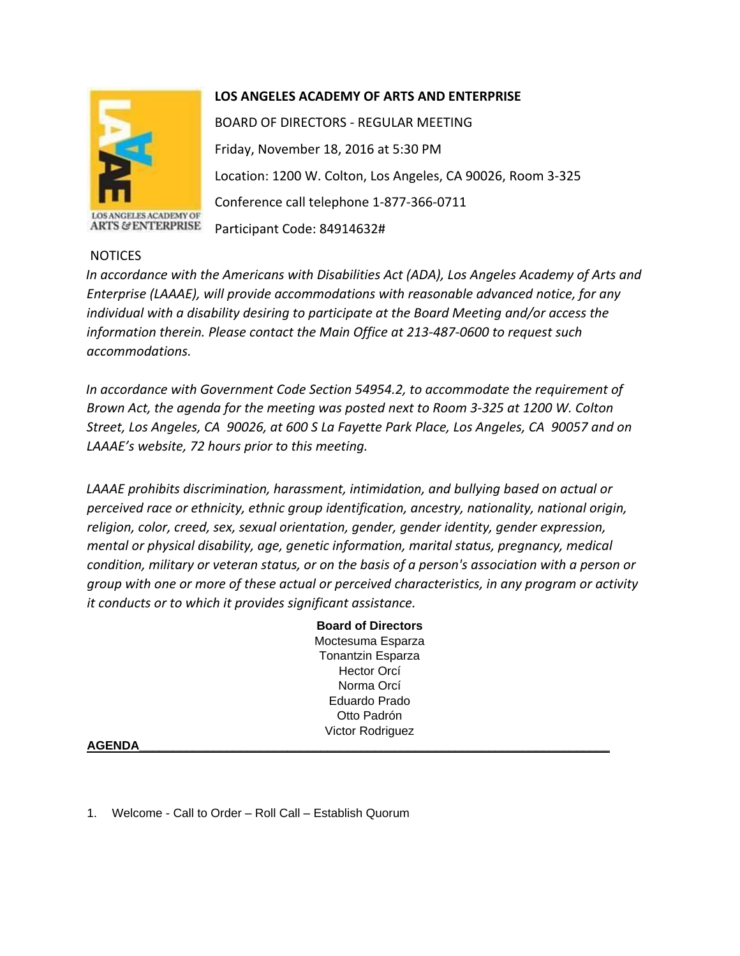

**ANGELES ACADEMY OF ARTS & ENTERPRISE** 

## **LOS ANGELES ACADEMY OF ARTS AND ENTERPRISE**

BOARD OF DIRECTORS - REGULAR MEETING Friday, November 18, 2016 at 5:30 PM Location: 1200 W. Colton, Los Angeles, CA 90026, Room 3-325 Conference call telephone 1-877-366-0711 Participant Code: 84914632#

## NOTICES

*In accordance with the Americans with Disabilities Act (ADA), Los Angeles Academy of Arts and Enterprise (LAAAE), will provide accommodations with reasonable advanced notice, for any individual with a disability desiring to participate at the Board Meeting and/or access the information therein. Please contact the Main Office at 213-487-0600 to request such accommodations.* 

*In accordance with Government Code Section 54954.2, to accommodate the requirement of Brown Act, the agenda for the meeting was posted next to Room 3-325 at 1200 W. Colton Street, Los Angeles, CA 90026, at 600 S La Fayette Park Place, Los Angeles, CA 90057 and on LAAAE's website, 72 hours prior to this meeting.* 

*LAAAE prohibits discrimination, harassment, intimidation, and bullying based on actual or perceived race or ethnicity, ethnic group identification, ancestry, nationality, national origin, religion, color, creed, sex, sexual orientation, gender, gender identity, gender expression, mental or physical disability, age, genetic information, marital status, pregnancy, medical condition, military or veteran status, or on the basis of a person's association with a person or group with one or more of these actual or perceived characteristics, in any program or activity it conducts or to which it provides significant assistance.* 

> **Board of Directors** Moctesuma Esparza Tonantzin Esparza Hector Orcí Norma Orcí Eduardo Prado Otto Padrón Victor Rodriguez

## **AGENDA\_\_\_\_\_\_\_\_\_\_\_\_\_\_\_\_\_\_\_\_\_\_\_\_\_\_\_\_\_\_\_\_\_\_\_\_\_\_\_\_\_\_\_\_\_\_\_\_\_\_\_\_\_\_\_\_\_\_\_\_\_\_\_\_\_\_\_\_\_\_**

1. Welcome - Call to Order – Roll Call – Establish Quorum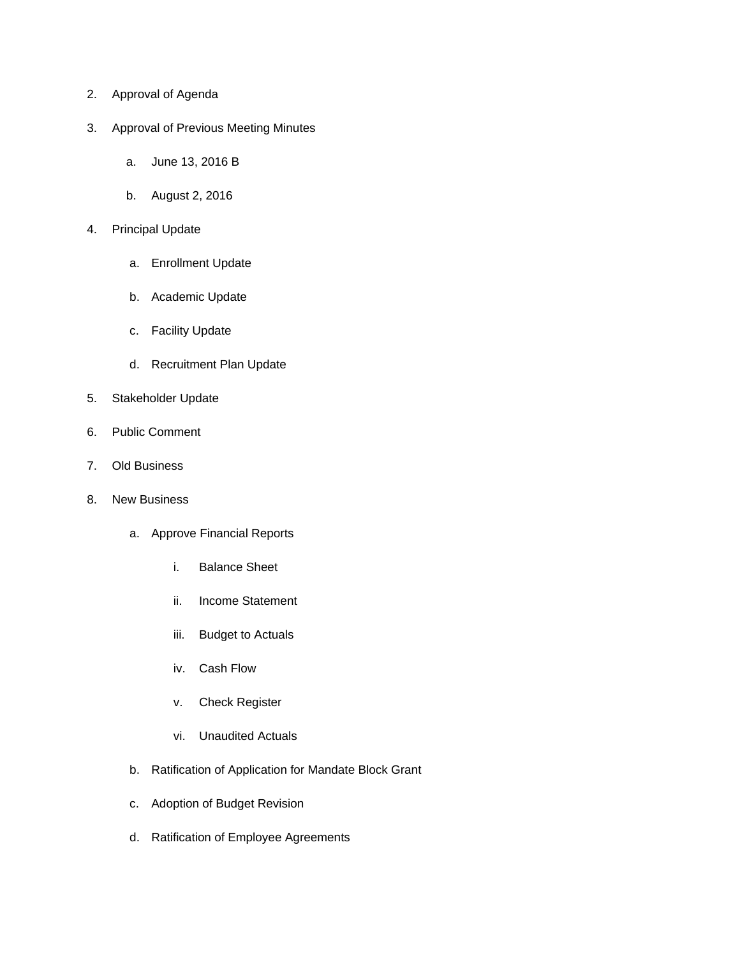- 2. Approval of Agenda
- 3. Approval of Previous Meeting Minutes
	- a. June 13, 2016 B
	- b. August 2, 2016
- 4. Principal Update
	- a. Enrollment Update
	- b. Academic Update
	- c. Facility Update
	- d. Recruitment Plan Update
- 5. Stakeholder Update
- 6. Public Comment
- 7. Old Business
- 8. New Business
	- a. Approve Financial Reports
		- i. Balance Sheet
		- ii. Income Statement
		- iii. Budget to Actuals
		- iv. Cash Flow
		- v. Check Register
		- vi. Unaudited Actuals
	- b. Ratification of Application for Mandate Block Grant
	- c. Adoption of Budget Revision
	- d. Ratification of Employee Agreements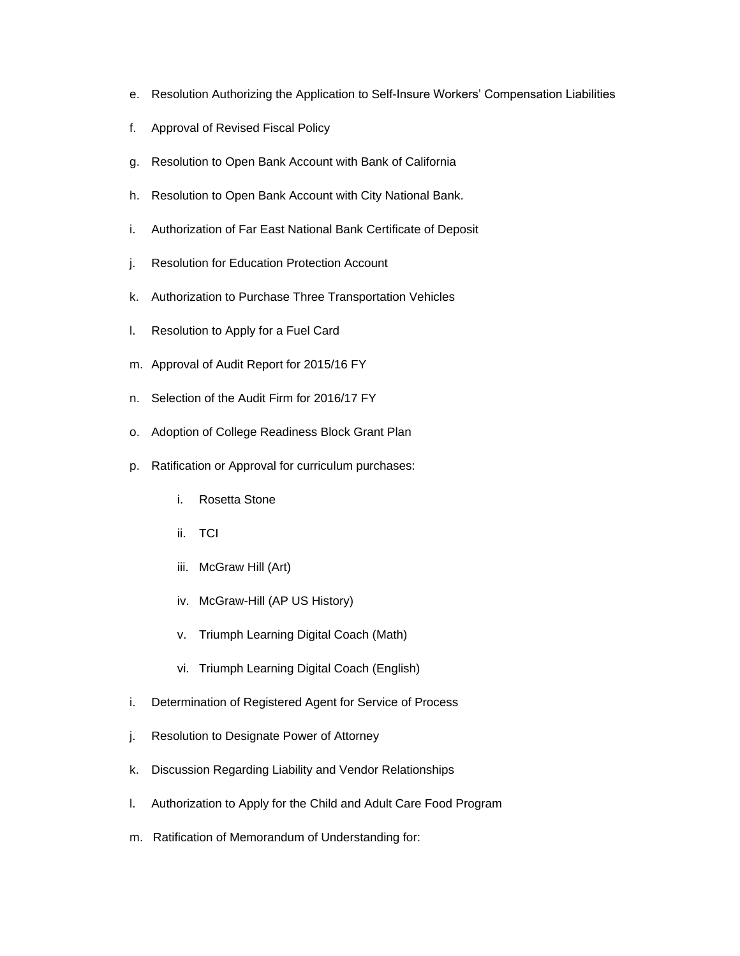- e. Resolution Authorizing the Application to Self-Insure Workers' Compensation Liabilities
- f. Approval of Revised Fiscal Policy
- g. Resolution to Open Bank Account with Bank of California
- h. Resolution to Open Bank Account with City National Bank.
- i. Authorization of Far East National Bank Certificate of Deposit
- j. Resolution for Education Protection Account
- k. Authorization to Purchase Three Transportation Vehicles
- l. Resolution to Apply for a Fuel Card
- m. Approval of Audit Report for 2015/16 FY
- n. Selection of the Audit Firm for 2016/17 FY
- o. Adoption of College Readiness Block Grant Plan
- p. Ratification or Approval for curriculum purchases:
	- i. Rosetta Stone
	- ii. TCI
	- iii. McGraw Hill (Art)
	- iv. McGraw-Hill (AP US History)
	- v. Triumph Learning Digital Coach (Math)
	- vi. Triumph Learning Digital Coach (English)
- i. Determination of Registered Agent for Service of Process
- j. Resolution to Designate Power of Attorney
- k. Discussion Regarding Liability and Vendor Relationships
- l. Authorization to Apply for the Child and Adult Care Food Program
- m. Ratification of Memorandum of Understanding for: